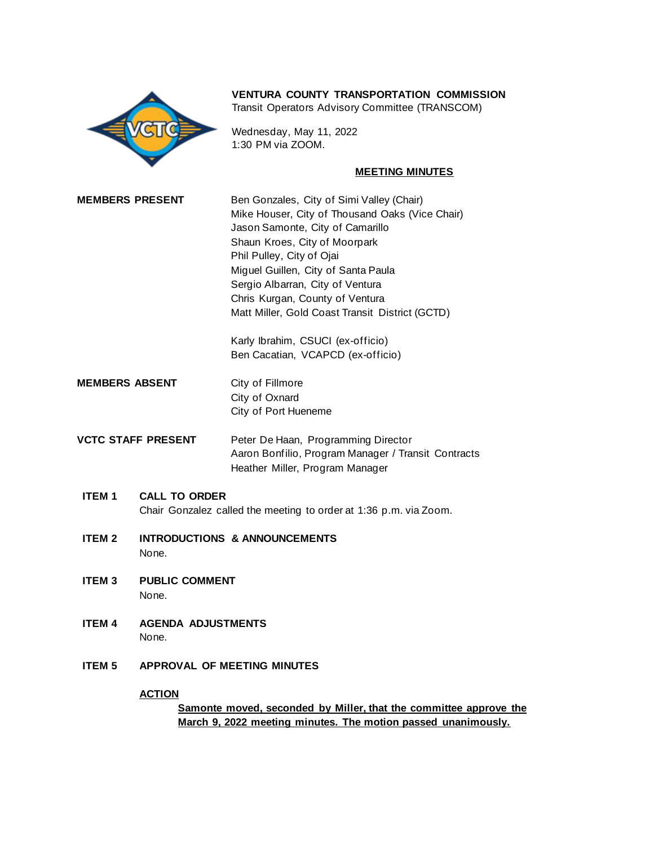

# **VENTURA COUNTY TRANSPORTATION COMMISSION**

Transit Operators Advisory Committee (TRANSCOM)

Wednesday, May 11, 2022 1:30 PM via ZOOM.

#### **MEETING MINUTES**

| <b>MEMBERS PRESENT</b> | Ben Gonzales, City of Simi Valley (Chair)       |
|------------------------|-------------------------------------------------|
|                        | Mike Houser, City of Thousand Oaks (Vice Chair) |
|                        | Jason Samonte, City of Camarillo                |
|                        | Shaun Kroes, City of Moorpark                   |
|                        | Phil Pulley, City of Ojai                       |
|                        | Miguel Guillen, City of Santa Paula             |
|                        | Sergio Albarran, City of Ventura                |
|                        | Chris Kurgan, County of Ventura                 |
|                        | Matt Miller, Gold Coast Transit District (GCTD) |
|                        |                                                 |

Karly Ibrahim, CSUCI (ex-officio) Ben Cacatian, VCAPCD (ex-officio)

- **MEMBERS ABSENT** City of Fillmore City of Oxnard City of Port Hueneme
- **VCTC STAFF PRESENT** Peter De Haan, Programming Director Aaron Bonfilio, Program Manager / Transit Contracts Heather Miller, Program Manager
	- **ITEM 1 CALL TO ORDER** Chair Gonzalez called the meeting to order at 1:36 p.m. via Zoom.
	- **ITEM 2 INTRODUCTIONS & ANNOUNCEMENTS** None.
	- **ITEM 3 PUBLIC COMMENT** None.
	- **ITEM 4 AGENDA ADJUSTMENTS** None.
	- **ITEM 5 APPROVAL OF MEETING MINUTES**

## **ACTION**

**Samonte moved, seconded by Miller, that the committee approve the March 9, 2022 meeting minutes. The motion passed unanimously.**